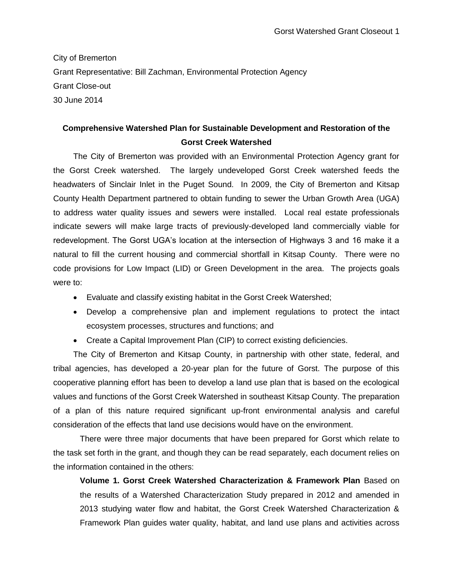City of Bremerton Grant Representative: Bill Zachman, Environmental Protection Agency Grant Close-out 30 June 2014

## **Comprehensive Watershed Plan for Sustainable Development and Restoration of the Gorst Creek Watershed**

The City of Bremerton was provided with an Environmental Protection Agency grant for the Gorst Creek watershed. The largely undeveloped Gorst Creek watershed feeds the headwaters of Sinclair Inlet in the Puget Sound. In 2009, the City of Bremerton and Kitsap County Health Department partnered to obtain funding to sewer the Urban Growth Area (UGA) to address water quality issues and sewers were installed. Local real estate professionals indicate sewers will make large tracts of previously-developed land commercially viable for redevelopment. The Gorst UGA's location at the intersection of Highways 3 and 16 make it a natural to fill the current housing and commercial shortfall in Kitsap County. There were no code provisions for Low Impact (LID) or Green Development in the area. The projects goals were to:

- Evaluate and classify existing habitat in the Gorst Creek Watershed;
- Develop a comprehensive plan and implement regulations to protect the intact ecosystem processes, structures and functions; and
- Create a Capital Improvement Plan (CIP) to correct existing deficiencies.

The City of Bremerton and Kitsap County, in partnership with other state, federal, and tribal agencies, has developed a 20-year plan for the future of Gorst. The purpose of this cooperative planning effort has been to develop a land use plan that is based on the ecological values and functions of the Gorst Creek Watershed in southeast Kitsap County. The preparation of a plan of this nature required significant up-front environmental analysis and careful consideration of the effects that land use decisions would have on the environment.

There were three major documents that have been prepared for Gorst which relate to the task set forth in the grant, and though they can be read separately, each document relies on the information contained in the others:

**Volume 1. Gorst Creek Watershed Characterization & Framework Plan** Based on the results of a Watershed Characterization Study prepared in 2012 and amended in 2013 studying water flow and habitat, the Gorst Creek Watershed Characterization & Framework Plan guides water quality, habitat, and land use plans and activities across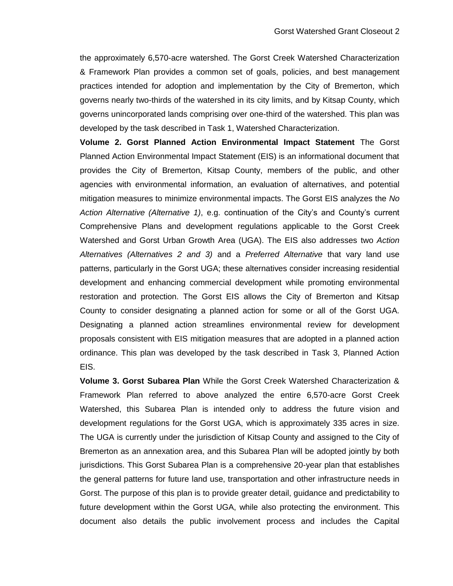the approximately 6,570-acre watershed. The Gorst Creek Watershed Characterization & Framework Plan provides a common set of goals, policies, and best management practices intended for adoption and implementation by the City of Bremerton, which governs nearly two-thirds of the watershed in its city limits, and by Kitsap County, which governs unincorporated lands comprising over one-third of the watershed. This plan was developed by the task described in Task 1, Watershed Characterization.

**Volume 2. Gorst Planned Action Environmental Impact Statement** The Gorst Planned Action Environmental Impact Statement (EIS) is an informational document that provides the City of Bremerton, Kitsap County, members of the public, and other agencies with environmental information, an evaluation of alternatives, and potential mitigation measures to minimize environmental impacts. The Gorst EIS analyzes the *No Action Alternative (Alternative 1)*, e.g. continuation of the City's and County's current Comprehensive Plans and development regulations applicable to the Gorst Creek Watershed and Gorst Urban Growth Area (UGA). The EIS also addresses two *Action Alternatives (Alternatives 2 and 3)* and a *Preferred Alternative* that vary land use patterns, particularly in the Gorst UGA; these alternatives consider increasing residential development and enhancing commercial development while promoting environmental restoration and protection. The Gorst EIS allows the City of Bremerton and Kitsap County to consider designating a planned action for some or all of the Gorst UGA. Designating a planned action streamlines environmental review for development proposals consistent with EIS mitigation measures that are adopted in a planned action ordinance. This plan was developed by the task described in Task 3, Planned Action EIS.

**Volume 3. Gorst Subarea Plan** While the Gorst Creek Watershed Characterization & Framework Plan referred to above analyzed the entire 6,570-acre Gorst Creek Watershed, this Subarea Plan is intended only to address the future vision and development regulations for the Gorst UGA, which is approximately 335 acres in size. The UGA is currently under the jurisdiction of Kitsap County and assigned to the City of Bremerton as an annexation area, and this Subarea Plan will be adopted jointly by both jurisdictions. This Gorst Subarea Plan is a comprehensive 20-year plan that establishes the general patterns for future land use, transportation and other infrastructure needs in Gorst. The purpose of this plan is to provide greater detail, guidance and predictability to future development within the Gorst UGA, while also protecting the environment. This document also details the public involvement process and includes the Capital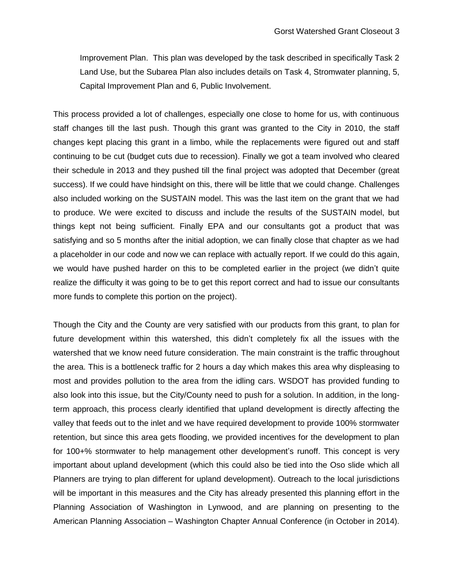Improvement Plan. This plan was developed by the task described in specifically Task 2 Land Use, but the Subarea Plan also includes details on Task 4, Stromwater planning, 5, Capital Improvement Plan and 6, Public Involvement.

This process provided a lot of challenges, especially one close to home for us, with continuous staff changes till the last push. Though this grant was granted to the City in 2010, the staff changes kept placing this grant in a limbo, while the replacements were figured out and staff continuing to be cut (budget cuts due to recession). Finally we got a team involved who cleared their schedule in 2013 and they pushed till the final project was adopted that December (great success). If we could have hindsight on this, there will be little that we could change. Challenges also included working on the SUSTAIN model. This was the last item on the grant that we had to produce. We were excited to discuss and include the results of the SUSTAIN model, but things kept not being sufficient. Finally EPA and our consultants got a product that was satisfying and so 5 months after the initial adoption, we can finally close that chapter as we had a placeholder in our code and now we can replace with actually report. If we could do this again, we would have pushed harder on this to be completed earlier in the project (we didn't quite realize the difficulty it was going to be to get this report correct and had to issue our consultants more funds to complete this portion on the project).

Though the City and the County are very satisfied with our products from this grant, to plan for future development within this watershed, this didn't completely fix all the issues with the watershed that we know need future consideration. The main constraint is the traffic throughout the area. This is a bottleneck traffic for 2 hours a day which makes this area why displeasing to most and provides pollution to the area from the idling cars. WSDOT has provided funding to also look into this issue, but the City/County need to push for a solution. In addition, in the longterm approach, this process clearly identified that upland development is directly affecting the valley that feeds out to the inlet and we have required development to provide 100% stormwater retention, but since this area gets flooding, we provided incentives for the development to plan for 100+% stormwater to help management other development's runoff. This concept is very important about upland development (which this could also be tied into the Oso slide which all Planners are trying to plan different for upland development). Outreach to the local jurisdictions will be important in this measures and the City has already presented this planning effort in the Planning Association of Washington in Lynwood, and are planning on presenting to the American Planning Association – Washington Chapter Annual Conference (in October in 2014).